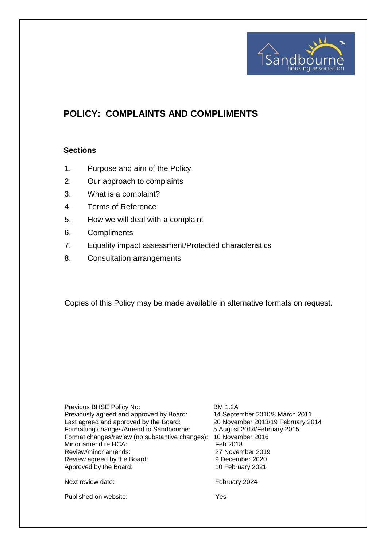

# **POLICY: COMPLAINTS AND COMPLIMENTS**

#### **Sections**

- 1. Purpose and aim of the Policy
- 2. Our approach to complaints
- 3. What is a complaint?
- 4. Terms of Reference
- 5. How we will deal with a complaint
- 6. Compliments
- 7. Equality impact assessment/Protected characteristics
- 8. Consultation arrangements

Copies of this Policy may be made available in alternative formats on request.

Previous BHSE Policy No: BM 1.2A Previously agreed and approved by Board: 14 September 2010/8 March 2011 Last agreed and approved by the Board: 20 November 2013/19 February 2014 Formatting changes/Amend to Sandbourne: 5 August 2014/February 2015 Format changes/review (no substantive changes): 10 November 2016 Minor amend re HCA: Feb 2018 Review/minor amends: 27 November 2019 Review agreed by the Board: 9 December 2020 Approved by the Board: 10 February 2021 Next review date: The Contract of the February 2024 Published on website: Yes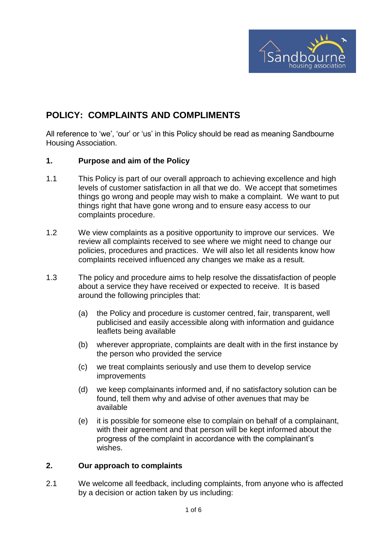

## **POLICY: COMPLAINTS AND COMPLIMENTS**

All reference to 'we', 'our' or 'us' in this Policy should be read as meaning Sandbourne Housing Association.

#### **1. Purpose and aim of the Policy**

- 1.1 This Policy is part of our overall approach to achieving excellence and high levels of customer satisfaction in all that we do. We accept that sometimes things go wrong and people may wish to make a complaint. We want to put things right that have gone wrong and to ensure easy access to our complaints procedure.
- 1.2 We view complaints as a positive opportunity to improve our services. We review all complaints received to see where we might need to change our policies, procedures and practices. We will also let all residents know how complaints received influenced any changes we make as a result.
- 1.3 The policy and procedure aims to help resolve the dissatisfaction of people about a service they have received or expected to receive. It is based around the following principles that:
	- (a) the Policy and procedure is customer centred, fair, transparent, well publicised and easily accessible along with information and guidance leaflets being available
	- (b) wherever appropriate, complaints are dealt with in the first instance by the person who provided the service
	- (c) we treat complaints seriously and use them to develop service improvements
	- (d) we keep complainants informed and, if no satisfactory solution can be found, tell them why and advise of other avenues that may be available
	- (e) it is possible for someone else to complain on behalf of a complainant, with their agreement and that person will be kept informed about the progress of the complaint in accordance with the complainant's wishes.

## **2. Our approach to complaints**

2.1 We welcome all feedback, including complaints, from anyone who is affected by a decision or action taken by us including: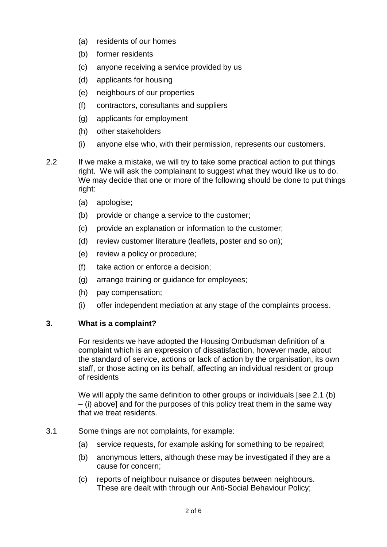- (a) residents of our homes
- (b) former residents
- (c) anyone receiving a service provided by us
- (d) applicants for housing
- (e) neighbours of our properties
- (f) contractors, consultants and suppliers
- (g) applicants for employment
- (h) other stakeholders
- (i) anyone else who, with their permission, represents our customers.
- 2.2 If we make a mistake, we will try to take some practical action to put things right. We will ask the complainant to suggest what they would like us to do. We may decide that one or more of the following should be done to put things right:
	- (a) apologise;
	- (b) provide or change a service to the customer;
	- (c) provide an explanation or information to the customer;
	- (d) review customer literature (leaflets, poster and so on);
	- (e) review a policy or procedure;
	- (f) take action or enforce a decision;
	- (g) arrange training or guidance for employees;
	- (h) pay compensation;
	- (i) offer independent mediation at any stage of the complaints process.

## **3. What is a complaint?**

For residents we have adopted the Housing Ombudsman definition of a complaint which is an expression of dissatisfaction, however made, about the standard of service, actions or lack of action by the organisation, its own staff, or those acting on its behalf, affecting an individual resident or group of residents

We will apply the same definition to other groups or individuals [see 2.1 (b) – (i) above] and for the purposes of this policy treat them in the same way that we treat residents.

#### 3.1 Some things are not complaints, for example:

- (a) service requests, for example asking for something to be repaired;
- (b) anonymous letters, although these may be investigated if they are a cause for concern;
- (c) reports of neighbour nuisance or disputes between neighbours. These are dealt with through our Anti-Social Behaviour Policy;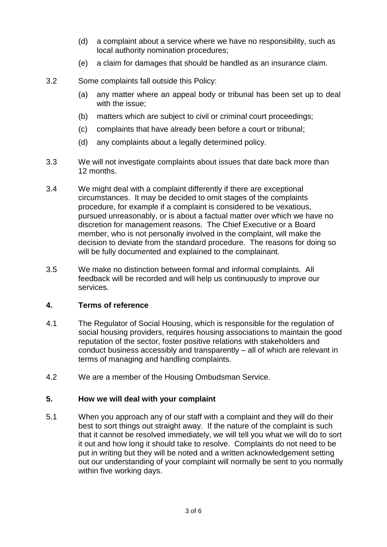- (d) a complaint about a service where we have no responsibility, such as local authority nomination procedures;
- (e) a claim for damages that should be handled as an insurance claim.
- 3.2 Some complaints fall outside this Policy:
	- (a) any matter where an appeal body or tribunal has been set up to deal with the issue;
	- (b) matters which are subject to civil or criminal court proceedings;
	- (c) complaints that have already been before a court or tribunal;
	- (d) any complaints about a legally determined policy.
- 3.3 We will not investigate complaints about issues that date back more than 12 months.
- 3.4 We might deal with a complaint differently if there are exceptional circumstances. It may be decided to omit stages of the complaints procedure, for example if a complaint is considered to be vexatious, pursued unreasonably, or is about a factual matter over which we have no discretion for management reasons. The Chief Executive or a Board member, who is not personally involved in the complaint, will make the decision to deviate from the standard procedure. The reasons for doing so will be fully documented and explained to the complainant.
- 3.5 We make no distinction between formal and informal complaints. All feedback will be recorded and will help us continuously to improve our services.

#### **4. Terms of reference**

- 4.1 The Regulator of Social Housing, which is responsible for the regulation of social housing providers, requires housing associations to maintain the good reputation of the sector, foster positive relations with stakeholders and conduct business accessibly and transparently – all of which are relevant in terms of managing and handling complaints.
- 4.2 We are a member of the Housing Ombudsman Service.

#### **5. How we will deal with your complaint**

5.1 When you approach any of our staff with a complaint and they will do their best to sort things out straight away. If the nature of the complaint is such that it cannot be resolved immediately, we will tell you what we will do to sort it out and how long it should take to resolve. Complaints do not need to be put in writing but they will be noted and a written acknowledgement setting out our understanding of your complaint will normally be sent to you normally within five working days.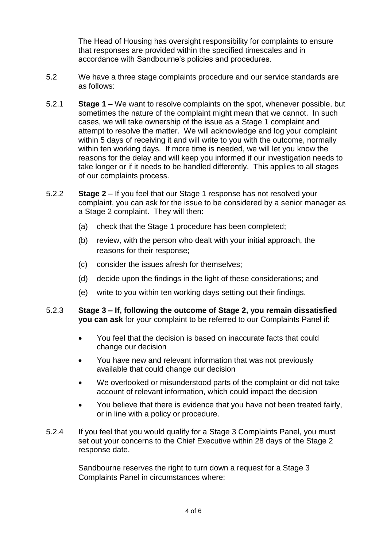The Head of Housing has oversight responsibility for complaints to ensure that responses are provided within the specified timescales and in accordance with Sandbourne's policies and procedures.

- 5.2 We have a three stage complaints procedure and our service standards are as follows:
- 5.2.1 **Stage 1** We want to resolve complaints on the spot, whenever possible, but sometimes the nature of the complaint might mean that we cannot. In such cases, we will take ownership of the issue as a Stage 1 complaint and attempt to resolve the matter. We will acknowledge and log your complaint within 5 days of receiving it and will write to you with the outcome, normally within ten working days. If more time is needed, we will let you know the reasons for the delay and will keep you informed if our investigation needs to take longer or if it needs to be handled differently. This applies to all stages of our complaints process.
- 5.2.2 **Stage 2** If you feel that our Stage 1 response has not resolved your complaint, you can ask for the issue to be considered by a senior manager as a Stage 2 complaint. They will then:
	- (a) check that the Stage 1 procedure has been completed;
	- (b) review, with the person who dealt with your initial approach, the reasons for their response;
	- (c) consider the issues afresh for themselves;
	- (d) decide upon the findings in the light of these considerations; and
	- (e) write to you within ten working days setting out their findings.

#### 5.2.3 **Stage 3 – If, following the outcome of Stage 2, you remain dissatisfied you can ask** for your complaint to be referred to our Complaints Panel if:

- You feel that the decision is based on inaccurate facts that could change our decision
- You have new and relevant information that was not previously available that could change our decision
- We overlooked or misunderstood parts of the complaint or did not take account of relevant information, which could impact the decision
- You believe that there is evidence that you have not been treated fairly, or in line with a policy or procedure.
- 5.2.4 If you feel that you would qualify for a Stage 3 Complaints Panel, you must set out your concerns to the Chief Executive within 28 days of the Stage 2 response date.

Sandbourne reserves the right to turn down a request for a Stage 3 Complaints Panel in circumstances where: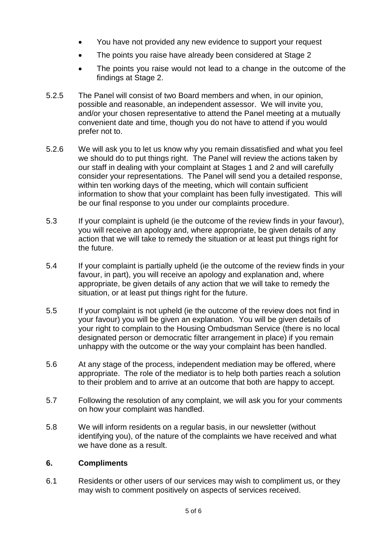- You have not provided any new evidence to support your request
- The points you raise have already been considered at Stage 2
- The points you raise would not lead to a change in the outcome of the findings at Stage 2.
- 5.2.5 The Panel will consist of two Board members and when, in our opinion, possible and reasonable, an independent assessor. We will invite you, and/or your chosen representative to attend the Panel meeting at a mutually convenient date and time, though you do not have to attend if you would prefer not to.
- 5.2.6 We will ask you to let us know why you remain dissatisfied and what you feel we should do to put things right. The Panel will review the actions taken by our staff in dealing with your complaint at Stages 1 and 2 and will carefully consider your representations. The Panel will send you a detailed response, within ten working days of the meeting, which will contain sufficient information to show that your complaint has been fully investigated. This will be our final response to you under our complaints procedure.
- 5.3 If your complaint is upheld (ie the outcome of the review finds in your favour), you will receive an apology and, where appropriate, be given details of any action that we will take to remedy the situation or at least put things right for the future.
- 5.4 If your complaint is partially upheld (ie the outcome of the review finds in your favour, in part), you will receive an apology and explanation and, where appropriate, be given details of any action that we will take to remedy the situation, or at least put things right for the future.
- 5.5 If your complaint is not upheld (ie the outcome of the review does not find in your favour) you will be given an explanation. You will be given details of your right to complain to the Housing Ombudsman Service (there is no local designated person or democratic filter arrangement in place) if you remain unhappy with the outcome or the way your complaint has been handled.
- 5.6 At any stage of the process, independent mediation may be offered, where appropriate. The role of the mediator is to help both parties reach a solution to their problem and to arrive at an outcome that both are happy to accept.
- 5.7 Following the resolution of any complaint, we will ask you for your comments on how your complaint was handled.
- 5.8 We will inform residents on a regular basis, in our newsletter (without identifying you), of the nature of the complaints we have received and what we have done as a result.

## **6. Compliments**

6.1 Residents or other users of our services may wish to compliment us, or they may wish to comment positively on aspects of services received.